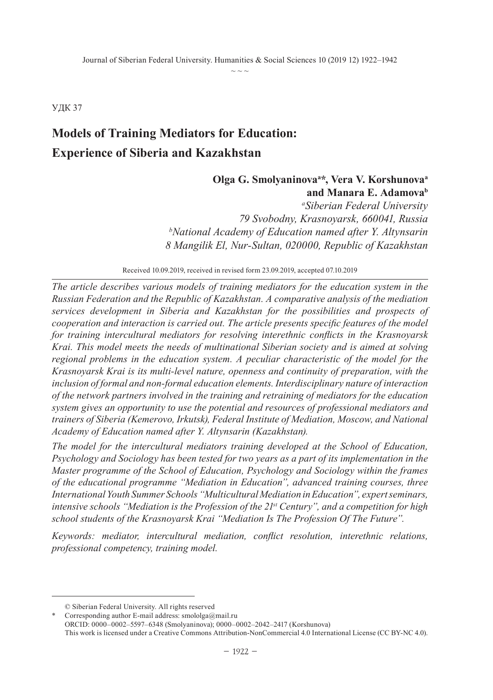УДК 37

## **Models of Training Mediators for Education: Experience of Siberia and Kazakhstan**

### **Olga G. Smolyaninovaa \*, Vera V. Korshunovaa and Manara E. Adamovab**

*a Siberian Federal University 79 Svobodny, Krasnoyarsk, 660041, Russia b National Academy of Education named after Y. Altynsarin 8 Mangilik El, Nur-Sultan, 020000, Republic of Kazakhstan*

Received 10.09.2019, received in revised form 23.09.2019, accepted 07.10.2019

*The article describes various models of training mediators for the education system in the Russian Federation and the Republic of Kazakhstan. A comparative analysis of the mediation services development in Siberia and Kazakhstan for the possibilities and prospects of cooperation and interaction is carried out. The article presents specific features of the model for training intercultural mediators for resolving interethnic conflicts in the Krasnoyarsk Krai. This model meets the needs of multinational Siberian society and is aimed at solving regional problems in the education system. A peculiar characteristic of the model for the Krasnoyarsk Krai is its multi-level nature, openness and continuity of preparation, with the inclusion of formal and non-formal education elements. Interdisciplinary nature of interaction of the network partners involved in the training and retraining of mediators for the education system gives an opportunity to use the potential and resources of professional mediators and trainers of Siberia (Kemerovo, Irkutsk), Federal Institute of Mediation, Moscow, and National Academy of Education named after Y. Altynsarin (Kazakhstan).*

*The model for the intercultural mediators training developed at the School of Education, Psychology and Sociology has been tested for two years as a part of its implementation in the Master programme of the School of Education, Psychology and Sociology within the frames of the educational programme "Mediation in Education", advanced training courses, three International Youth Summer Schools "Multicultural Mediation in Education", expert seminars, intensive schools "Mediation is the Profession of the 21st Century", and a competition for high school students of the Krasnoyarsk Krai "Mediation Is The Profession Of The Future".*

*Keywords: mediator, intercultural mediation, conflict resolution, interethnic relations, professional competency, training model.*

<sup>©</sup> Siberian Federal University. All rights reserved

Corresponding author E-mail address: smololga@mail.ru ORCID: 0000–0002–5597–6348 (Smolyaninova); 0000–0002–2042–2417 (Korshunova) This work is licensed under a Creative Commons Attribution-NonCommercial 4.0 International License (CC BY-NC 4.0).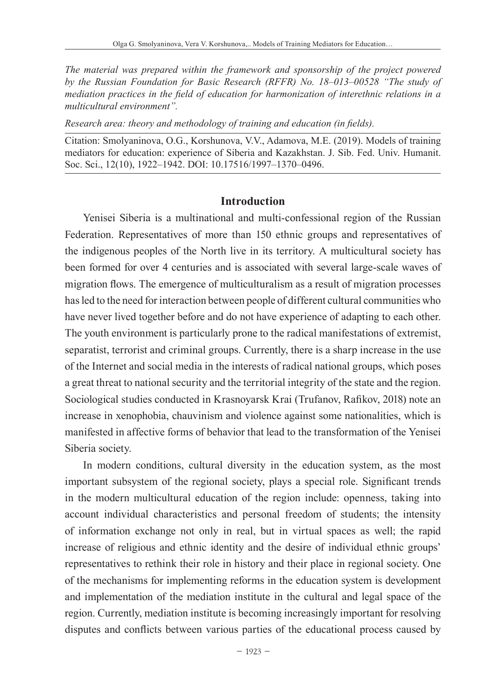*The material was prepared within the framework and sponsorship of the project powered by the Russian Foundation for Basic Research (RFFR) No. 18–013–00528 "The study of mediation practices in the field of education for harmonization of interethnic relations in a multicultural environment".*

*Research area: theory and methodology of training and education (in fields).*

Citation: Smolyaninova, O.G., Korshunova, V.V., Adamova, M.E. (2019). Models of training mediators for education: experience of Siberia and Kazakhstan. J. Sib. Fed. Univ. Humanit. Soc. Sci., 12(10), 1922–1942. DOI: 10.17516/1997–1370–0496.

#### **Introduction**

Yenisei Siberia is a multinational and multi-confessional region of the Russian Federation. Representatives of more than 150 ethnic groups and representatives of the indigenous peoples of the North live in its territory. A multicultural society has been formed for over 4 centuries and is associated with several large-scale waves of migration flows. The emergence of multiculturalism as a result of migration processes has led to the need for interaction between people of different cultural communities who have never lived together before and do not have experience of adapting to each other. The youth environment is particularly prone to the radical manifestations of extremist, separatist, terrorist and criminal groups. Currently, there is a sharp increase in the use of the Internet and social media in the interests of radical national groups, which poses a great threat to national security and the territorial integrity of the state and the region. Sociological studies conducted in Krasnoyarsk Krai (Trufanov, Rafikov, 2018) note an increase in xenophobia, chauvinism and violence against some nationalities, which is manifested in affective forms of behavior that lead to the transformation of the Yenisei Siberia society.

In modern conditions, cultural diversity in the education system, as the most important subsystem of the regional society, plays a special role. Significant trends in the modern multicultural education of the region include: openness, taking into account individual characteristics and personal freedom of students; the intensity of information exchange not only in real, but in virtual spaces as well; the rapid increase of religious and ethnic identity and the desire of individual ethnic groups' representatives to rethink their role in history and their place in regional society. One of the mechanisms for implementing reforms in the education system is development and implementation of the mediation institute in the cultural and legal space of the region. Currently, mediation institute is becoming increasingly important for resolving disputes and conflicts between various parties of the educational process caused by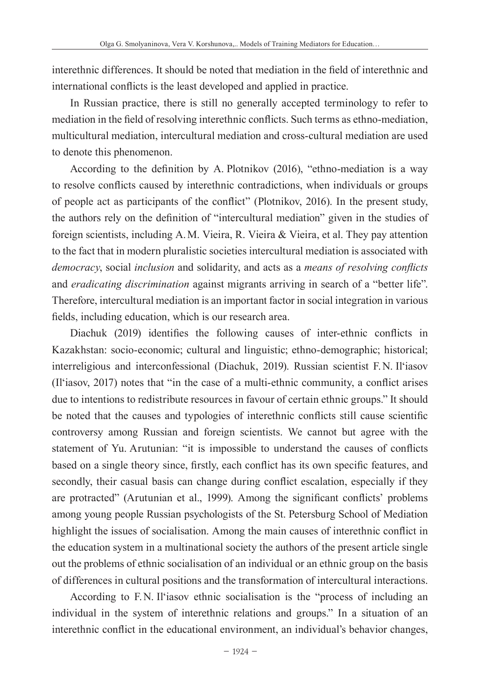interethnic differences. It should be noted that mediation in the field of interethnic and international conflicts is the least developed and applied in practice.

In Russian practice, there is still no generally accepted terminology to refer to mediation in the field of resolving interethnic conflicts. Such terms as ethno-mediation, multicultural mediation, intercultural mediation and cross-cultural mediation are used to denote this phenomenon.

According to the definition by A. Plotnikov (2016), "ethno-mediation is a way to resolve conflicts caused by interethnic contradictions, when individuals or groups of people act as participants of the conflict" (Plotnikov, 2016). In the present study, the authors rely on the definition of "intercultural mediation" given in the studies of foreign scientists, including A.M. Vieira, R. Vieira & Vieira, et al. They pay attention to the fact that in modern pluralistic societies intercultural mediation is associated with *democracy*, social *inclusion* and solidarity, and acts as a *means of resolving conflicts* and *eradicating discrimination* against migrants arriving in search of a "better life". Therefore, intercultural mediation is an important factor in social integration in various fields, including education, which is our research area.

Diachuk (2019) identifies the following causes of inter-ethnic conflicts in Kazakhstan: socio-economic; cultural and linguistic; ethno-demographic; historical; interreligious and interconfessional (Diachuk, 2019). Russian scientist F.N. Il'iasov (Il'iasov, 2017) notes that "in the case of a multi-ethnic community, a conflict arises due to intentions to redistribute resources in favour of certain ethnic groups." It should be noted that the causes and typologies of interethnic conflicts still cause scientific controversy among Russian and foreign scientists. We cannot but agree with the statement of Yu. Arutunian: "it is impossible to understand the causes of conflicts based on a single theory since, firstly, each conflict has its own specific features, and secondly, their casual basis can change during conflict escalation, especially if they are protracted" (Arutunian et al., 1999). Among the significant conflicts' problems among young people Russian psychologists of the St. Petersburg School of Mediation highlight the issues of socialisation. Among the main causes of interethnic conflict in the education system in a multinational society the authors of the present article single out the problems of ethnic socialisation of an individual or an ethnic group on the basis of differences in cultural positions and the transformation of intercultural interactions.

According to F.N. Il'iasov ethnic socialisation is the "process of including an individual in the system of interethnic relations and groups." In a situation of an interethnic conflict in the educational environment, an individual's behavior changes,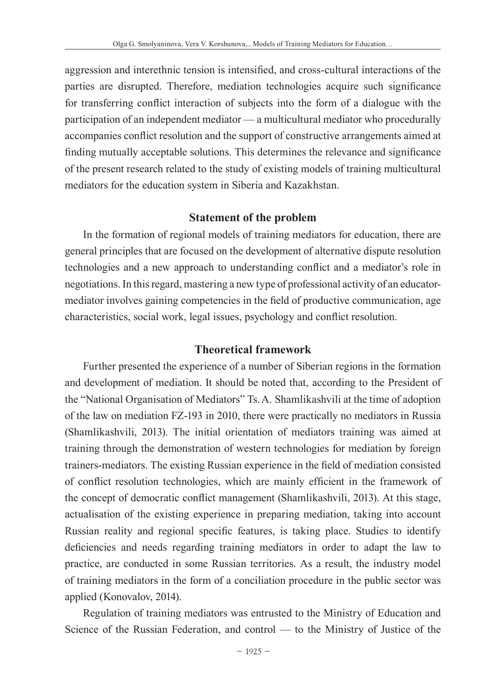aggression and interethnic tension is intensified, and cross-cultural interactions of the parties are disrupted. Therefore, mediation technologies acquire such significance for transferring conflict interaction of subjects into the form of a dialogue with the participation of an independent mediator — a multicultural mediator who procedurally accompanies conflict resolution and the support of constructive arrangements aimed at finding mutually acceptable solutions. This determines the relevance and significance of the present research related to the study of existing models of training multicultural mediators for the education system in Siberia and Kazakhstan.

## **Statement of the problem**

In the formation of regional models of training mediators for education, there are general principles that are focused on the development of alternative dispute resolution technologies and a new approach to understanding conflict and a mediator's role in negotiations. In this regard, mastering a new type of professional activity of an educatormediator involves gaining competencies in the field of productive communication, age characteristics, social work, legal issues, psychology and conflict resolution.

## **Theoretical framework**

Further presented the experience of a number of Siberian regions in the formation and development of mediation. It should be noted that, according to the President of the "National Organisation of Mediators" Ts.A. Shamlikashvili at the time of adoption of the law on mediation FZ‑193 in 2010, there were practically no mediators in Russia (Shamlikashvili, 2013). The initial orientation of mediators training was aimed at training through the demonstration of western technologies for mediation by foreign trainers-mediators. The existing Russian experience in the field of mediation consisted of conflict resolution technologies, which are mainly efficient in the framework of the concept of democratic conflict management (Shamlikashvili, 2013). At this stage, actualisation of the existing experience in preparing mediation, taking into account Russian reality and regional specific features, is taking place. Studies to identify deficiencies and needs regarding training mediators in order to adapt the law to practice, are conducted in some Russian territories. As a result, the industry model of training mediators in the form of a conciliation procedure in the public sector was applied (Konovalov, 2014).

Regulation of training mediators was entrusted to the Ministry of Education and Science of the Russian Federation, and control — to the Ministry of Justice of the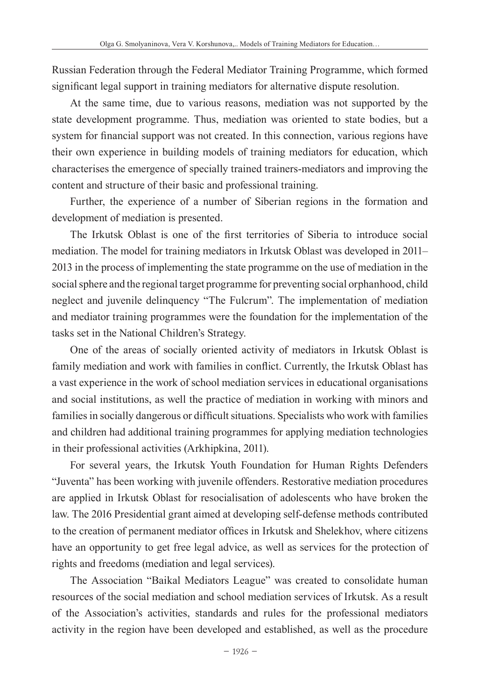Russian Federation through the Federal Mediator Training Programme, which formed significant legal support in training mediators for alternative dispute resolution.

At the same time, due to various reasons, mediation was not supported by the state development programme. Thus, mediation was oriented to state bodies, but a system for financial support was not created. In this connection, various regions have their own experience in building models of training mediators for education, which characterises the emergence of specially trained trainers-mediators and improving the content and structure of their basic and professional training.

Further, the experience of a number of Siberian regions in the formation and development of mediation is presented.

The Irkutsk Oblast is one of the first territories of Siberia to introduce social mediation. The model for training mediators in Irkutsk Oblast was developed in 2011– 2013 in the process of implementing the state programme on the use of mediation in the social sphere and the regional target programme for preventing social orphanhood, child neglect and juvenile delinquency "The Fulcrum". The implementation of mediation and mediator training programmes were the foundation for the implementation of the tasks set in the National Children's Strategy.

One of the areas of socially oriented activity of mediators in Irkutsk Oblast is family mediation and work with families in conflict. Currently, the Irkutsk Oblast has a vast experience in the work of school mediation services in educational organisations and social institutions, as well the practice of mediation in working with minors and families in socially dangerous or difficult situations. Specialists who work with families and children had additional training programmes for applying mediation technologies in their professional activities (Arkhipkina, 2011).

For several years, the Irkutsk Youth Foundation for Human Rights Defenders "Juventa" has been working with juvenile offenders. Restorative mediation procedures are applied in Irkutsk Oblast for resocialisation of adolescents who have broken the law. The 2016 Presidential grant aimed at developing self-defense methods contributed to the creation of permanent mediator offices in Irkutsk and Shelekhov, where citizens have an opportunity to get free legal advice, as well as services for the protection of rights and freedoms (mediation and legal services).

The Association "Baikal Mediators League" was created to consolidate human resources of the social mediation and school mediation services of Irkutsk. As a result of the Association's activities, standards and rules for the professional mediators activity in the region have been developed and established, as well as the procedure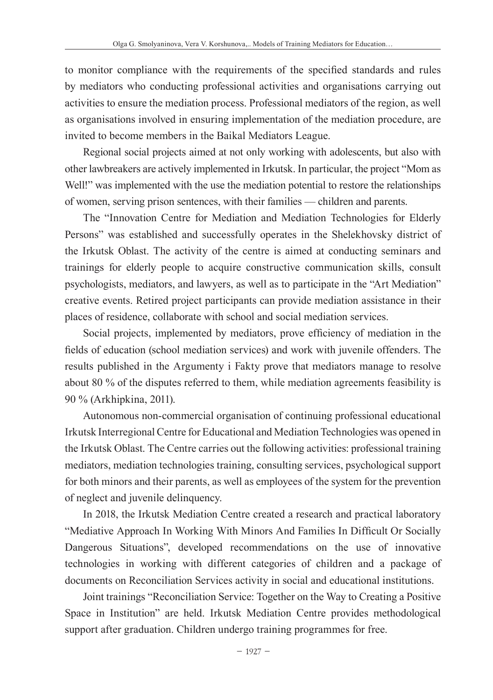to monitor compliance with the requirements of the specified standards and rules by mediators who conducting professional activities and organisations carrying out activities to ensure the mediation process. Professional mediators of the region, as well as organisations involved in ensuring implementation of the mediation procedure, are invited to become members in the Baikal Mediators League.

Regional social projects aimed at not only working with adolescents, but also with other lawbreakers are actively implemented in Irkutsk. In particular, the project "Mom as Well!" was implemented with the use the mediation potential to restore the relationships of women, serving prison sentences, with their families — children and parents.

The "Innovation Centre for Mediation and Mediation Technologies for Elderly Persons" was established and successfully operates in the Shelekhovsky district of the Irkutsk Oblast. The activity of the centre is aimed at conducting seminars and trainings for elderly people to acquire constructive communication skills, consult psychologists, mediators, and lawyers, as well as to participate in the "Art Mediation" creative events. Retired project participants can provide mediation assistance in their places of residence, collaborate with school and social mediation services.

Social projects, implemented by mediators, prove efficiency of mediation in the fields of education (school mediation services) and work with juvenile offenders. The results published in the Argumenty i Fakty prove that mediators manage to resolve about 80 % of the disputes referred to them, while mediation agreements feasibility is 90 % (Arkhipkina, 2011).

Autonomous non-commercial organisation of continuing professional educational Irkutsk Interregional Centre for Educational and Mediation Technologies was opened in the Irkutsk Oblast. The Centre carries out the following activities: professional training mediators, mediation technologies training, consulting services, psychological support for both minors and their parents, as well as employees of the system for the prevention of neglect and juvenile delinquency.

In 2018, the Irkutsk Mediation Centre created a research and practical laboratory "Mediative Approach In Working With Minors And Families In Difficult Or Socially Dangerous Situations", developed recommendations on the use of innovative technologies in working with different categories of children and a package of documents on Reconciliation Services activity in social and educational institutions.

Joint trainings "Reconciliation Service: Together on the Way to Creating a Positive Space in Institution" are held. Irkutsk Mediation Centre provides methodological support after graduation. Children undergo training programmes for free.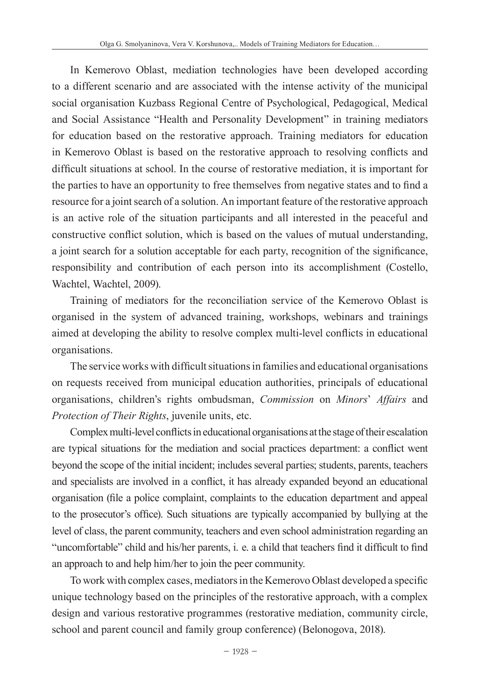In Kemerovo Oblast, mediation technologies have been developed according to a different scenario and are associated with the intense activity of the municipal social organisation Kuzbass Regional Centre of Psychological, Pedagogical, Medical and Social Assistance "Health and Personality Development" in training mediators for education based on the restorative approach. Training mediators for education in Kemerovo Oblast is based on the restorative approach to resolving conflicts and difficult situations at school. In the course of restorative mediation, it is important for the parties to have an opportunity to free themselves from negative states and to find a resource for a joint search of a solution. An important feature of the restorative approach is an active role of the situation participants and all interested in the peaceful and constructive conflict solution, which is based on the values of mutual understanding, a joint search for a solution acceptable for each party, recognition of the significance, responsibility and contribution of each person into its accomplishment (Costello, Wachtel, Wachtel, 2009).

Training of mediators for the reconciliation service of the Kemerovo Oblast is organised in the system of advanced training, workshops, webinars and trainings aimed at developing the ability to resolve complex multi-level conflicts in educational organisations.

The service works with difficult situations in families and educational organisations on requests received from municipal education authorities, principals of educational organisations, children's rights ombudsman, *Commission* on *Minors*' *Affairs* and *Protection of Their Rights*, juvenile units, etc.

Complex multi-level conflicts in educational organisations at the stage of their escalation are typical situations for the mediation and social practices department: a conflict went beyond the scope of the initial incident; includes several parties; students, parents, teachers and specialists are involved in a conflict, it has already expanded beyond an educational organisation (file a police complaint, complaints to the education department and appeal to the prosecutor's office). Such situations are typically accompanied by bullying at the level of class, the parent community, teachers and even school administration regarding an "uncomfortable" child and his/her parents, i. e. a child that teachers find it difficult to find an approach to and help him/her to join the peer community.

To work with complex cases, mediators in the Kemerovo Oblast developed a specific unique technology based on the principles of the restorative approach, with a complex design and various restorative programmes (restorative mediation, community circle, school and parent council and family group conference) (Belonogova, 2018).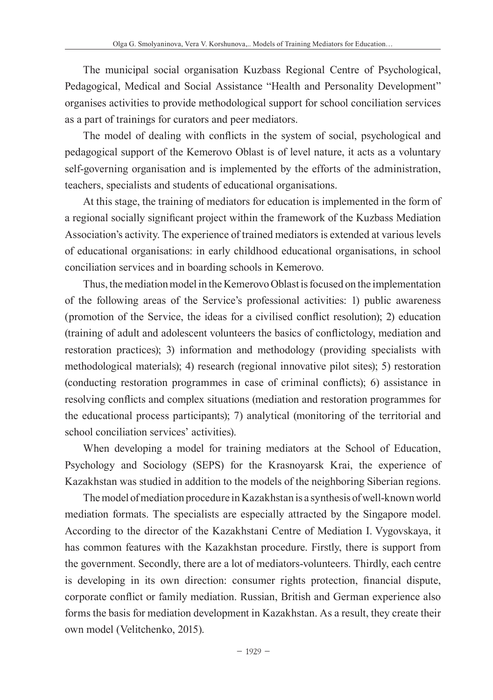The municipal social organisation Kuzbass Regional Centre of Psychological, Pedagogical, Medical and Social Assistance "Health and Personality Development" organises activities to provide methodological support for school conciliation services as a part of trainings for curators and peer mediators.

The model of dealing with conflicts in the system of social, psychological and pedagogical support of the Kemerovo Oblast is of level nature, it acts as a voluntary self-governing organisation and is implemented by the efforts of the administration, teachers, specialists and students of educational organisations.

At this stage, the training of mediators for education is implemented in the form of a regional socially significant project within the framework of the Kuzbass Mediation Association's activity. The experience of trained mediators is extended at various levels of educational organisations: in early childhood educational organisations, in school conciliation services and in boarding schools in Kemerovo.

Thus, the mediation model in the Kemerovo Oblast is focused on the implementation of the following areas of the Service's professional activities: 1) public awareness (promotion of the Service, the ideas for a civilised conflict resolution); 2) education (training of adult and adolescent volunteers the basics of conflictology, mediation and restoration practices); 3) information and methodology (providing specialists with methodological materials); 4) research (regional innovative pilot sites); 5) restoration (conducting restoration programmes in case of criminal conflicts); 6) assistance in resolving conflicts and complex situations (mediation and restoration programmes for the educational process participants); 7) analytical (monitoring of the territorial and school conciliation services' activities).

When developing a model for training mediators at the School of Education, Psychology and Sociology (SEPS) for the Krasnoyarsk Krai, the experience of Kazakhstan was studied in addition to the models of the neighboring Siberian regions.

The model of mediation procedure in Kazakhstan is a synthesis of well-known world mediation formats. The specialists are especially attracted by the Singapore model. According to the director of the Kazakhstani Centre of Mediation I. Vygovskaya, it has common features with the Kazakhstan procedure. Firstly, there is support from the government. Secondly, there are a lot of mediators-volunteers. Thirdly, each centre is developing in its own direction: consumer rights protection, financial dispute, corporate conflict or family mediation. Russian, British and German experience also forms the basis for mediation development in Kazakhstan. As a result, they create their own model (Velitchenko, 2015).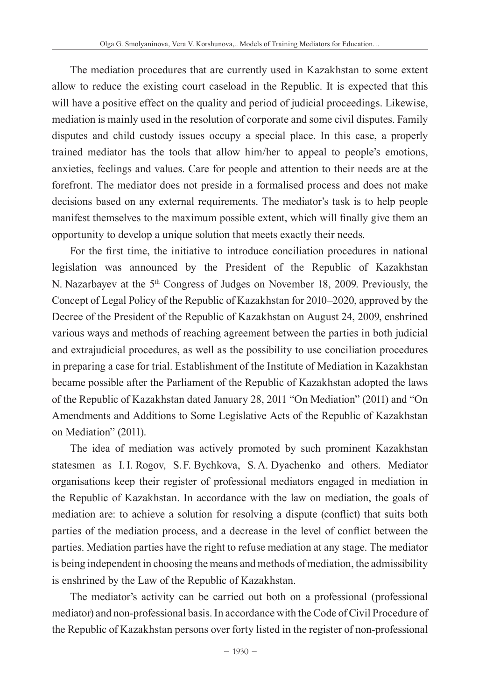The mediation procedures that are currently used in Kazakhstan to some extent allow to reduce the existing court caseload in the Republic. It is expected that this will have a positive effect on the quality and period of judicial proceedings. Likewise, mediation is mainly used in the resolution of corporate and some civil disputes. Family disputes and child custody issues occupy a special place. In this case, a properly trained mediator has the tools that allow him/her to appeal to people's emotions, anxieties, feelings and values. Care for people and attention to their needs are at the forefront. The mediator does not preside in a formalised process and does not make decisions based on any external requirements. The mediator's task is to help people manifest themselves to the maximum possible extent, which will finally give them an opportunity to develop a unique solution that meets exactly their needs.

For the first time, the initiative to introduce conciliation procedures in national legislation was announced by the President of the Republic of Kazakhstan N. Nazarbayev at the 5th Congress of Judges on November 18, 2009. Previously, the Concept of Legal Policy of the Republic of Kazakhstan for 2010–2020, approved by the Decree of the President of the Republic of Kazakhstan on August 24, 2009, enshrined various ways and methods of reaching agreement between the parties in both judicial and extrajudicial procedures, as well as the possibility to use conciliation procedures in preparing a case for trial. Establishment of the Institute of Mediation in Kazakhstan became possible after the Parliament of the Republic of Kazakhstan adopted the laws of the Republic of Kazakhstan dated January 28, 2011 "On Mediation" (2011) and "On Amendments and Additions to Some Legislative Acts of the Republic of Kazakhstan on Mediation" (2011).

The idea of mediation was actively promoted by such prominent Kazakhstan statesmen as I.I. Rogov, S.F. Bychkova, S.A. Dyachenko and others. Mediator organisations keep their register of professional mediators engaged in mediation in the Republic of Kazakhstan. In accordance with the law on mediation, the goals of mediation are: to achieve a solution for resolving a dispute (conflict) that suits both parties of the mediation process, and a decrease in the level of conflict between the parties. Mediation parties have the right to refuse mediation at any stage. The mediator is being independent in choosing the means and methods of mediation, the admissibility is enshrined by the Law of the Republic of Kazakhstan.

The mediator's activity can be carried out both on a professional (professional mediator) and non-professional basis. In accordance with the Code of Civil Procedure of the Republic of Kazakhstan persons over forty listed in the register of non-professional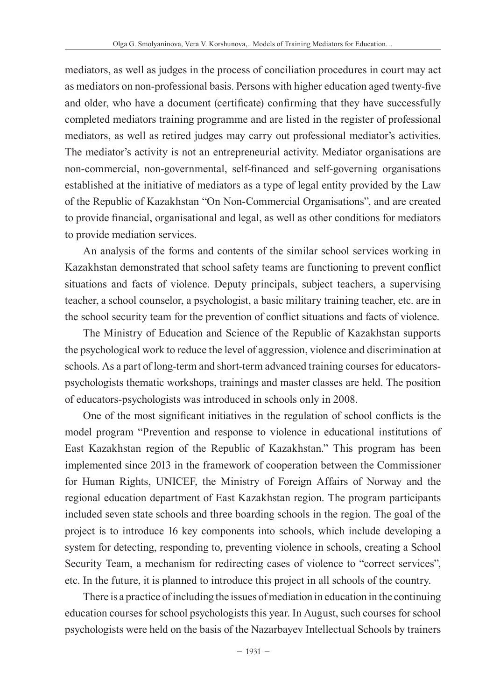mediators, as well as judges in the process of conciliation procedures in court may act as mediators on non-professional basis. Persons with higher education aged twenty-five and older, who have a document (certificate) confirming that they have successfully completed mediators training programme and are listed in the register of professional mediators, as well as retired judges may carry out professional mediator's activities. The mediator's activity is not an entrepreneurial activity. Mediator organisations are non-commercial, non-governmental, self-financed and self-governing organisations established at the initiative of mediators as a type of legal entity provided by the Law of the Republic of Kazakhstan "On Non-Commercial Organisations", and are created to provide financial, organisational and legal, as well as other conditions for mediators to provide mediation services.

An analysis of the forms and contents of the similar school services working in Kazakhstan demonstrated that school safety teams are functioning to prevent conflict situations and facts of violence. Deputy principals, subject teachers, a supervising teacher, a school counselor, a psychologist, a basic military training teacher, etc. are in the school security team for the prevention of conflict situations and facts of violence.

The Ministry of Education and Science of the Republic of Kazakhstan supports the psychological work to reduce the level of aggression, violence and discrimination at schools. As a part of long-term and short-term advanced training courses for educatorspsychologists thematic workshops, trainings and master classes are held. The position of educators-psychologists was introduced in schools only in 2008.

One of the most significant initiatives in the regulation of school conflicts is the model program "Prevention and response to violence in educational institutions of East Kazakhstan region of the Republic of Kazakhstan." This program has been implemented since 2013 in the framework of cooperation between the Commissioner for Human Rights, UNICEF, the Ministry of Foreign Affairs of Norway and the regional education department of East Kazakhstan region. The program participants included seven state schools and three boarding schools in the region. The goal of the project is to introduce 16 key components into schools, which include developing a system for detecting, responding to, preventing violence in schools, creating a School Security Team, a mechanism for redirecting cases of violence to "correct services", etc. In the future, it is planned to introduce this project in all schools of the country.

There is a practice of including the issues of mediation in education in the continuing education courses for school psychologists this year. In August, such courses for school psychologists were held on the basis of the Nazarbayev Intellectual Schools by trainers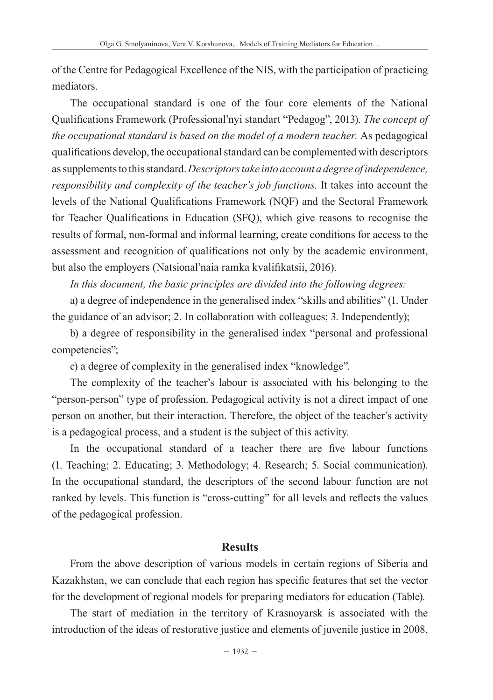of the Centre for Pedagogical Excellence of the NIS, with the participation of practicing mediators.

The occupational standard is one of the four core elements of the National Qualifications Framework (Professional'nyi standart "Pedagog", 2013). *The concept of the occupational standard is based on the model of a modern teacher.* As pedagogical qualifications develop, the occupational standard can be complemented with descriptors as supplements to this standard. *Descriptors take into account a degree of independence, responsibility and complexity of the teacher's job functions.* It takes into account the levels of the National Qualifications Framework (NQF) and the Sectoral Framework for Teacher Qualifications in Education (SFQ), which give reasons to recognise the results of formal, non-formal and informal learning, create conditions for access to the assessment and recognition of qualifications not only by the academic environment, but also the employers (Natsional'naia ramka kvalifikatsii, 2016).

*In this document, the basic principles are divided into the following degrees:*

a) a degree of independence in the generalised index "skills and abilities" (1. Under the guidance of an advisor; 2. In collaboration with colleagues; 3. Independently);

b) a degree of responsibility in the generalised index "personal and professional competencies";

c) a degree of complexity in the generalised index "knowledge".

The complexity of the teacher's labour is associated with his belonging to the "person-person" type of profession. Pedagogical activity is not a direct impact of one person on another, but their interaction. Therefore, the object of the teacher's activity is a pedagogical process, and a student is the subject of this activity.

In the occupational standard of a teacher there are five labour functions (1. Teaching; 2. Educating; 3. Methodology; 4. Research; 5. Social communication). In the occupational standard, the descriptors of the second labour function are not ranked by levels. This function is "cross-cutting" for all levels and reflects the values of the pedagogical profession.

#### **Results**

From the above description of various models in certain regions of Siberia and Kazakhstan, we can conclude that each region has specific features that set the vector for the development of regional models for preparing mediators for education (Table).

The start of mediation in the territory of Krasnoyarsk is associated with the introduction of the ideas of restorative justice and elements of juvenile justice in 2008,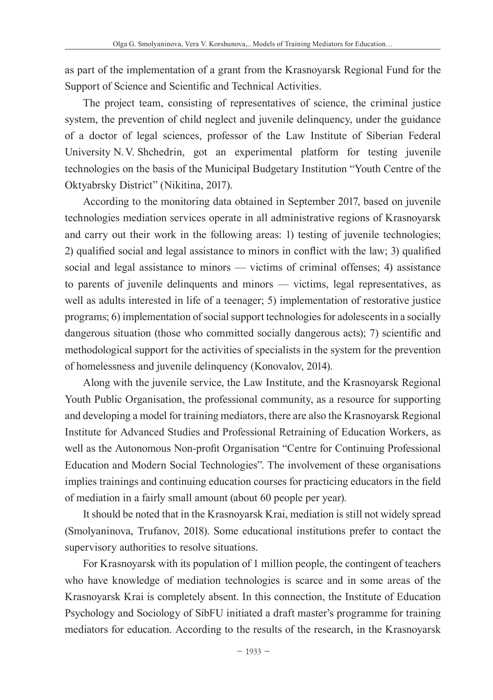as part of the implementation of a grant from the Krasnoyarsk Regional Fund for the Support of Science and Scientific and Technical Activities.

The project team, consisting of representatives of science, the criminal justice system, the prevention of child neglect and juvenile delinquency, under the guidance of a doctor of legal sciences, professor of the Law Institute of Siberian Federal University N.V. Shchedrin, got an experimental platform for testing juvenile technologies on the basis of the Municipal Budgetary Institution "Youth Centre of the Oktyabrsky District" (Nikitina, 2017).

According to the monitoring data obtained in September 2017, based on juvenile technologies mediation services operate in all administrative regions of Krasnoyarsk and carry out their work in the following areas: 1) testing of juvenile technologies; 2) qualified social and legal assistance to minors in conflict with the law; 3) qualified social and legal assistance to minors — victims of criminal offenses; 4) assistance to parents of juvenile delinquents and minors — victims, legal representatives, as well as adults interested in life of a teenager; 5) implementation of restorative justice programs; 6) implementation of social support technologies for adolescents in a socially dangerous situation (those who committed socially dangerous acts); 7) scientific and methodological support for the activities of specialists in the system for the prevention of homelessness and juvenile delinquency (Konovalov, 2014).

Along with the juvenile service, the Law Institute, and the Krasnoyarsk Regional Youth Public Organisation, the professional community, as a resource for supporting and developing a model for training mediators, there are also the Krasnoyarsk Regional Institute for Advanced Studies and Professional Retraining of Education Workers, as well as the Autonomous Non-profit Organisation "Centre for Continuing Professional Education and Modern Social Technologies". The involvement of these organisations implies trainings and continuing education courses for practicing educators in the field of mediation in a fairly small amount (about 60 people per year).

It should be noted that in the Krasnoyarsk Krai, mediation is still not widely spread (Smolyaninova, Trufanov, 2018). Some educational institutions prefer to contact the supervisory authorities to resolve situations.

For Krasnoyarsk with its population of 1 million people, the contingent of teachers who have knowledge of mediation technologies is scarce and in some areas of the Krasnoyarsk Krai is completely absent. In this connection, the Institute of Education Psychology and Sociology of SibFU initiated a draft master's programme for training mediators for education. According to the results of the research, in the Krasnoyarsk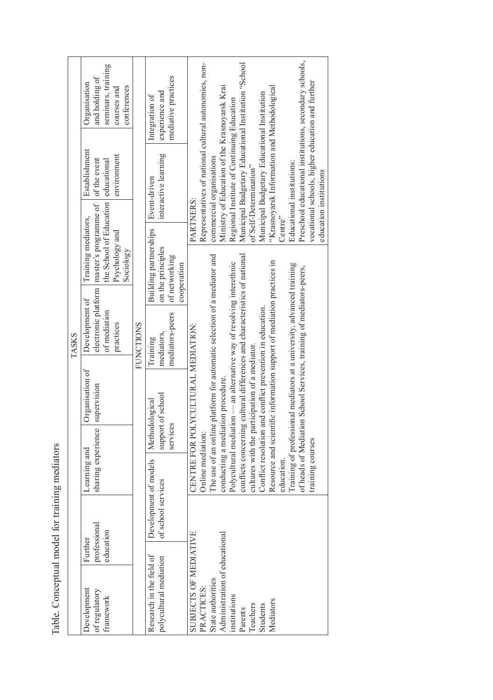Table. Conceptual model for training mediators Table. Conceptual model for training mediators

| TASKS | seminars, training<br>and holding of<br>Organisation<br>conferences<br>courses and                        |                  | Integration of           | experience and         | mediative practices          |                                    | Representatives of national cultural autonomies, non- | commercial organisations                                                | Ministry of Education of the Krasnoyarsk Krai | Regional Institute of Continuing Education                           | Municipal Budgetary Educational Institution "School                       | of Self-Determination"                            | Municipal Budgetary Educational Institution               |                                                                       |                                                                       | Preschool educational institutions, secondary schools,     |                                                  |                        |
|-------|-----------------------------------------------------------------------------------------------------------|------------------|--------------------------|------------------------|------------------------------|------------------------------------|-------------------------------------------------------|-------------------------------------------------------------------------|-----------------------------------------------|----------------------------------------------------------------------|---------------------------------------------------------------------------|---------------------------------------------------|-----------------------------------------------------------|-----------------------------------------------------------------------|-----------------------------------------------------------------------|------------------------------------------------------------|--------------------------------------------------|------------------------|
|       | Establishment<br>environment                                                                              |                  | Event-driven             | interactive learning   |                              |                                    |                                                       |                                                                         |                                               |                                                                      |                                                                           |                                                   |                                                           | "Krasnoyarsk Information and Methodological                           | Educational institutions:                                             |                                                            | vocational schools, higher education and further |                        |
|       | the School of Education educational<br>Training mediators,                                                |                  |                          |                        |                              | PARTNERS:                          |                                                       |                                                                         |                                               |                                                                      |                                                                           |                                                   |                                                           | Centre <sup>"</sup>                                                   |                                                                       |                                                            |                                                  | education institutions |
|       | Psychology and<br>Sociology                                                                               |                  | Building partnerships    | on the principles      | of networking<br>cooperation | CENTRE FOR POLYCULTURAL MEDIATION: |                                                       | The use of an online platform for automatic selection of a mediator and | conducting a mediation procedure.             | Polycultural mediation — an alternative way of resolving interethnic |                                                                           | with the participation of a mediator.<br>cultures | Conflict resolution and conflict prevention in education. |                                                                       |                                                                       |                                                            |                                                  |                        |
|       | electronic platform   master's programme of   of the event<br>Development of<br>of mediation<br>practices | <b>FUNCTIONS</b> | Training                 | mediators,             | mediators-peers              |                                    |                                                       |                                                                         |                                               |                                                                      | conflicts concerning cultural differences and characteristics of national |                                                   |                                                           | Resource and scientific information support of mediation practices in | Training of professional mediators at a university, advanced training | of Mediation School Services, training of mediators-peers, |                                                  |                        |
|       | Organisation of<br>supervision                                                                            |                  |                          | support of school      |                              |                                    |                                                       |                                                                         |                                               |                                                                      |                                                                           |                                                   |                                                           |                                                                       |                                                                       |                                                            |                                                  |                        |
|       | experience  <br>ig and                                                                                    |                  | Methodological           |                        | services                     |                                    | Online mediation:                                     |                                                                         |                                               |                                                                      |                                                                           |                                                   |                                                           |                                                                       |                                                                       |                                                            | courses                                          |                        |
|       | Learning<br>sharing e                                                                                     |                  |                          | of school services     |                              |                                    |                                                       |                                                                         |                                               |                                                                      |                                                                           |                                                   |                                                           | education                                                             |                                                                       | of heads                                                   | training                                         |                        |
|       | professional<br>education                                                                                 |                  | Development of models    |                        |                              | SUBJECTS OF MEDIATIVE              | PRACTICES:                                            |                                                                         |                                               |                                                                      |                                                                           |                                                   |                                                           |                                                                       |                                                                       |                                                            |                                                  |                        |
|       | Further                                                                                                   |                  | Research in the field of | polycultural mediation |                              |                                    |                                                       |                                                                         |                                               |                                                                      |                                                                           |                                                   |                                                           |                                                                       |                                                                       |                                                            |                                                  |                        |
|       | Development<br>of regulatory<br>framework                                                                 |                  |                          |                        |                              |                                    |                                                       | State authorities                                                       | Administration of educational                 | institutions                                                         | Parents                                                                   | Teachers                                          | Students                                                  | Mediators                                                             |                                                                       |                                                            |                                                  |                        |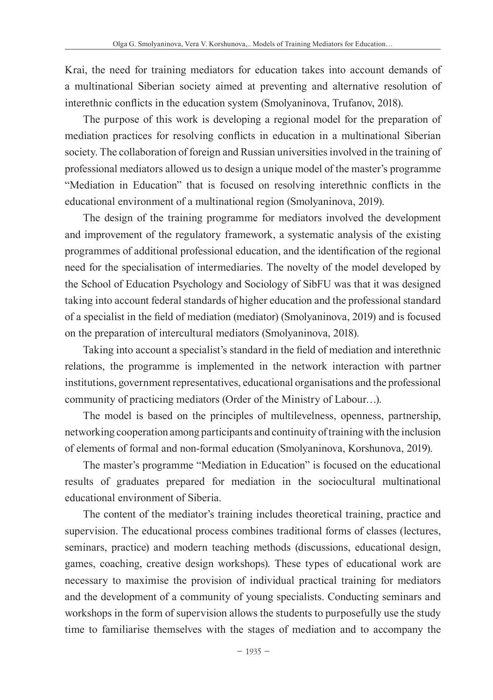Krai, the need for training mediators for education takes into account demands of a multinational Siberian society aimed at preventing and alternative resolution of interethnic conflicts in the education system (Smolyaninova, Trufanov, 2018).

The purpose of this work is developing a regional model for the preparation of mediation practices for resolving conflicts in education in a multinational Siberian society. The collaboration of foreign and Russian universities involved in the training of professional mediators allowed us to design a unique model of the master's programme "Mediation in Education" that is focused on resolving interethnic conflicts in the educational environment of a multinational region (Smolyaninova, 2019).

The design of the training programme for mediators involved the development and improvement of the regulatory framework, a systematic analysis of the existing programmes of additional professional education, and the identification of the regional need for the specialisation of intermediaries. The novelty of the model developed by the School of Education Psychology and Sociology of SibFU was that it was designed taking into account federal standards of higher education and the professional standard of a specialist in the field of mediation (mediator) (Smolyaninova, 2019) and is focused on the preparation of intercultural mediators (Smolyaninova, 2018).

Taking into account a specialist's standard in the field of mediation and interethnic relations, the programme is implemented in the network interaction with partner institutions, government representatives, educational organisations and the professional community of practicing mediators (Order of the Ministry of Labour…).

The model is based on the principles of multilevelness, openness, partnership, networking cooperation among participants and continuity of training with the inclusion of elements of formal and non-formal education (Smolyaninova, Korshunova, 2019).

The master's programme "Mediation in Education" is focused on the educational results of graduates prepared for mediation in the sociocultural multinational educational environment of Siberia.

The content of the mediator's training includes theoretical training, practice and supervision. The educational process combines traditional forms of classes (lectures, seminars, practice) and modern teaching methods (discussions, educational design, games, coaching, creative design workshops). These types of educational work are necessary to maximise the provision of individual practical training for mediators and the development of a community of young specialists. Conducting seminars and workshops in the form of supervision allows the students to purposefully use the study time to familiarise themselves with the stages of mediation and to accompany the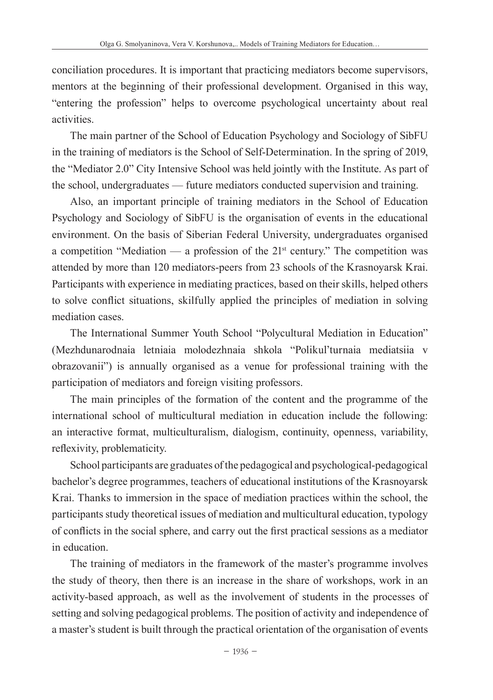conciliation procedures. It is important that practicing mediators become supervisors, mentors at the beginning of their professional development. Organised in this way, "entering the profession" helps to overcome psychological uncertainty about real activities.

The main partner of the School of Education Psychology and Sociology of SibFU in the training of mediators is the School of Self-Determination. In the spring of 2019, the "Mediator 2.0" City Intensive School was held jointly with the Institute. As part of the school, undergraduates — future mediators conducted supervision and training.

Also, an important principle of training mediators in the School of Education Psychology and Sociology of SibFU is the organisation of events in the educational environment. On the basis of Siberian Federal University, undergraduates organised a competition "Mediation — a profession of the  $21<sup>st</sup>$  century." The competition was attended by more than 120 mediators-peers from 23 schools of the Krasnoyarsk Krai. Participants with experience in mediating practices, based on their skills, helped others to solve conflict situations, skilfully applied the principles of mediation in solving mediation cases.

The International Summer Youth School "Polycultural Mediation in Education" (Mezhdunarodnaia letniaia molodezhnaia shkola "Polikul'turnaia mediatsiia v obrazovanii") is annually organised as a venue for professional training with the participation of mediators and foreign visiting professors.

The main principles of the formation of the content and the programme of the international school of multicultural mediation in education include the following: an interactive format, multiculturalism, dialogism, continuity, openness, variability, reflexivity, problematicity.

School participants are graduates of the pedagogical and psychological-pedagogical bachelor's degree programmes, teachers of educational institutions of the Krasnoyarsk Krai. Thanks to immersion in the space of mediation practices within the school, the participants study theoretical issues of mediation and multicultural education, typology of conflicts in the social sphere, and carry out the first practical sessions as a mediator in education.

The training of mediators in the framework of the master's programme involves the study of theory, then there is an increase in the share of workshops, work in an activity-based approach, as well as the involvement of students in the processes of setting and solving pedagogical problems. The position of activity and independence of a master's student is built through the practical orientation of the organisation of events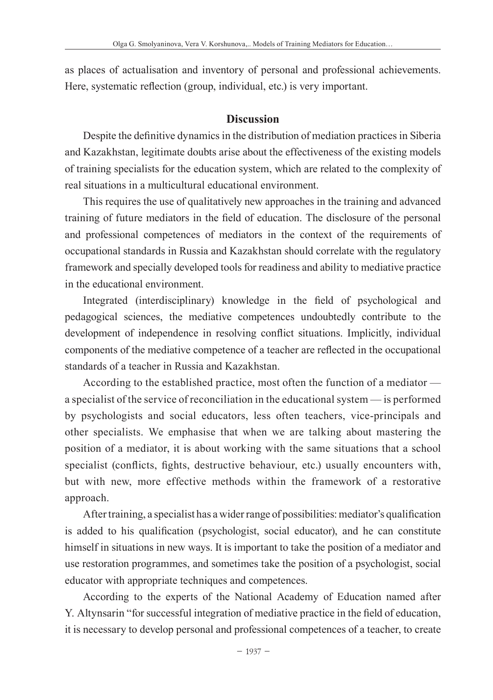as places of actualisation and inventory of personal and professional achievements. Here, systematic reflection (group, individual, etc.) is very important.

## **Discussion**

Despite the definitive dynamics in the distribution of mediation practices in Siberia and Kazakhstan, legitimate doubts arise about the effectiveness of the existing models of training specialists for the education system, which are related to the complexity of real situations in a multicultural educational environment.

This requires the use of qualitatively new approaches in the training and advanced training of future mediators in the field of education. The disclosure of the personal and professional competences of mediators in the context of the requirements of occupational standards in Russia and Kazakhstan should correlate with the regulatory framework and specially developed tools for readiness and ability to mediative practice in the educational environment.

Integrated (interdisciplinary) knowledge in the field of psychological and pedagogical sciences, the mediative competences undoubtedly contribute to the development of independence in resolving conflict situations. Implicitly, individual components of the mediative competence of a teacher are reflected in the occupational standards of a teacher in Russia and Kazakhstan.

According to the established practice, most often the function of a mediator a specialist of the service of reconciliation in the educational system — is performed by psychologists and social educators, less often teachers, vice-principals and other specialists. We emphasise that when we are talking about mastering the position of a mediator, it is about working with the same situations that a school specialist (conflicts, fights, destructive behaviour, etc.) usually encounters with, but with new, more effective methods within the framework of a restorative approach.

After training, a specialist has a wider range of possibilities: mediator's qualification is added to his qualification (psychologist, social educator), and he can constitute himself in situations in new ways. It is important to take the position of a mediator and use restoration programmes, and sometimes take the position of a psychologist, social educator with appropriate techniques and competences.

According to the experts of the National Academy of Education named after Y. Altynsarin "for successful integration of mediative practice in the field of education, it is necessary to develop personal and professional competences of a teacher, to create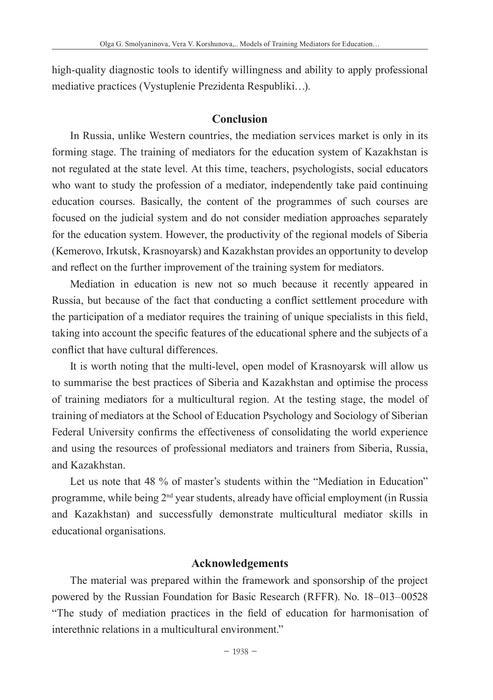high-quality diagnostic tools to identify willingness and ability to apply professional mediative practices (Vystuplenie Prezidenta Respubliki…).

#### **Conclusion**

In Russia, unlike Western countries, the mediation services market is only in its forming stage. The training of mediators for the education system of Kazakhstan is not regulated at the state level. At this time, teachers, psychologists, social educators who want to study the profession of a mediator, independently take paid continuing education courses. Basically, the content of the programmes of such courses are focused on the judicial system and do not consider mediation approaches separately for the education system. However, the productivity of the regional models of Siberia (Kemerovo, Irkutsk, Krasnoyarsk) and Kazakhstan provides an opportunity to develop and reflect on the further improvement of the training system for mediators.

Mediation in education is new not so much because it recently appeared in Russia, but because of the fact that conducting a conflict settlement procedure with the participation of a mediator requires the training of unique specialists in this field, taking into account the specific features of the educational sphere and the subjects of a conflict that have cultural differences.

It is worth noting that the multi-level, open model of Krasnoyarsk will allow us to summarise the best practices of Siberia and Kazakhstan and optimise the process of training mediators for a multicultural region. At the testing stage, the model of training of mediators at the School of Education Psychology and Sociology of Siberian Federal University confirms the effectiveness of consolidating the world experience and using the resources of professional mediators and trainers from Siberia, Russia, and Kazakhstan.

Let us note that 48 % of master's students within the "Mediation in Education" programme, while being 2<sup>nd</sup> year students, already have official employment (in Russia and Kazakhstan) and successfully demonstrate multicultural mediator skills in educational organisations.

### **Acknowledgements**

The material was prepared within the framework and sponsorship of the project powered by the Russian Foundation for Basic Research (RFFR). No. 18–013–00528 "The study of mediation practices in the field of education for harmonisation of interethnic relations in a multicultural environment."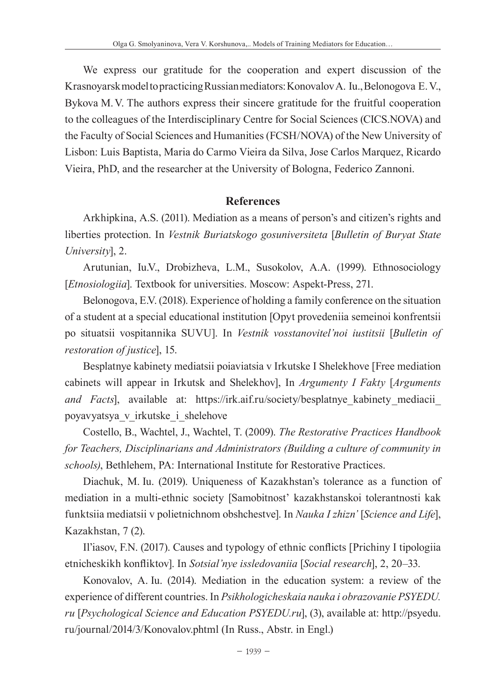We express our gratitude for the cooperation and expert discussion of the Krasnoyarsk model to practicing Russian mediators: Konovalov A. Iu., Belonogova E.V., Bykova M.V. The authors express their sincere gratitude for the fruitful cooperation to the colleagues of the Interdisciplinary Centre for Social Sciences (CICS.NOVA) and the Faculty of Social Sciences and Humanities (FCSH/NOVA) of the New University of Lisbon: Luis Baptista, Maria do Carmo Vieira da Silva, Jose Carlos Marquez, Ricardo Vieira, PhD, and the researcher at the University of Bologna, Federico Zannoni.

## **References**

Arkhipkina, A.S. (2011). Mediation as a means of person's and citizen's rights and liberties protection. In *Vestnik Buriatskogo gosuniversiteta* [*Bulletin of Buryat State University*], 2.

Arutunian, Iu.V., Drobizheva, L.M., Susokolov, A.A. (1999). Ethnosociology [*Etnosiologiia*]. Textbook for universities. Мoscow: Aspekt-Press, 271.

Belonogova, E.V. (2018). Experience of holding a family conference on the situation of a student at a special educational institution [Opyt provedeniia semeinoi konfrentsii po situatsii vospitannika SUVU]. In *Vestnik vosstanovitel'noi iustitsii* [*Bulletin of restoration of justice*], 15.

Besplatnye kabinety mediatsii poiaviatsia v Irkutske I Shelekhove [Free mediation cabinets will appear in Irkutsk and Shelekhov], In *Argumenty I Fakty* [*Arguments and Facts*], available at: https://irk.aif.ru/society/besplatnye kabinety mediacii poyavyatsya\_v\_irkutske\_i\_shelehove

Costello, B., Wachtel, J., Wachtel, T. (2009). *The Restorative Practices Handbook for Teachers, Disciplinarians and Administrators (Building a culture of community in schools)*, Bethlehem, PA: International Institute for Restorative Practices.

Diachuk, M. Iu. (2019). Uniqueness of Kazakhstan's tolerance as a function of mediation in a multi-ethnic society [Samobitnost' kazakhstanskoi tolerantnosti kak funktsiia mediatsii v polietnichnom obshchestve]. In *Nauka I zhizn'* [*Science and Life*], Kazakhstan, 7 (2).

Il'iasov, F.N. (2017). Causes and typology of ethnic conflicts [Prichiny I tipologiia etnicheskikh konfliktov]. In *Sotsial'nye issledovaniia* [*Social research*], 2, 20–33.

Konovalov, A. Iu. (2014). Mediation in the education system: a review of the experience of different countries. In *Psikhologicheskaia nauka i obrazovanie PSYEDU. ru* [*Psychological Science and Education PSYEDU.ru*], (3), available at: http://psyedu. ru/journal/2014/3/Konovalov.phtml (In Russ., Abstr. in Engl.)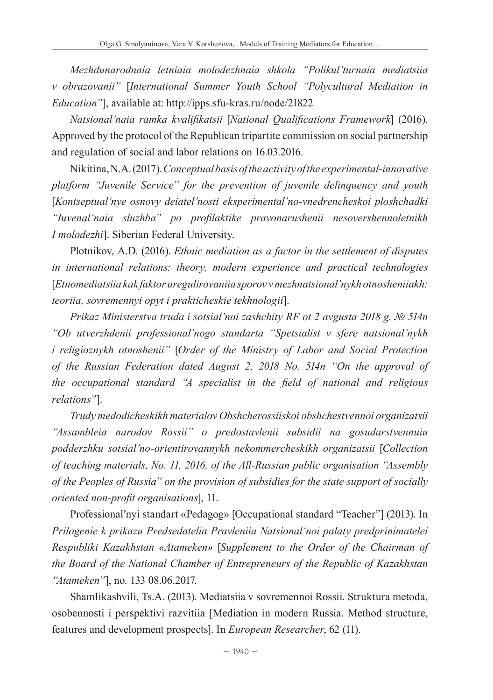*Mezhdunarodnaia letniaia molodezhnaia shkola "Polikul'turnaia mediatsiia v obrazovanii"* [*International Summer Youth School "Polycultural Mediation in Education"*], available at: http://ipps.sfu-kras.ru/node/21822

*Natsional'naia ramka kvalifikatsii* [*National Qualifications Framework*] (2016). Approved by the protocol of the Republican tripartite commission on social partnership and regulation of social and labor relations on 16.03.2016.

Nikitina, N.A. (2017).*Conceptual basis of the activity of the experimental-innovative platform "Juvenile Service" for the prevention of juvenile delinquency and youth* [*Kontseptual'nye osnovy deiatel'nosti eksperimental'no-vnedrencheskoi ploshchadki "Iuvenal'naia sluzhba" po profilaktike pravonarushenii nesovershennoletnikh I molodezhi*]. Siberian Federal University.

Plotnikov, A.D. (2016). *Ethnic mediation as a factor in the settlement of disputes in international relations: theory, modern experience and practical technologies* [*Etnomediatsiia kak faktor uregulirovaniia sporov v mezhnatsional'nykh otnosheniiakh: teoriia, sovremennyi opyt i prakticheskie tekhnologii*].

*Prikaz Ministerstva truda i sotsial'noi zashchity RF ot 2 avgusta 2018 g. № 514n "Ob utverzhdenii professional'nogo standarta "Spetsialist v sfere natsional'nykh i religioznykh otnoshenii"* [*Order of the Ministry of Labor and Social Protection of the Russian Federation dated August 2, 2018 No. 514n "On the approval of the occupational standard "A specialist in the field of national and religious relations"*].

*Trudy medodicheskikh materialov Obshcherossiiskoi obshchestvennoi organizatsii "Assambleia narodov Rossii" o predostavlenii subsidii na gosudarstvennuiu podderzhku sotsial'no-orientirovannykh nekommercheskikh organizatsii* [*Collection of teaching materials, No. 11, 2016, of the All-Russian public organisation "Assembly of the Peoples of Russia" on the provision of subsidies for the state support of socially oriented non-profit organisations*], 11.

Professional'nyi standart «Pedagog» [Occupational standard "Teacher"] (2013). In *Prilogenie k prikazu Predsedatelia Pravleniia Natsional'noi palaty predprinimatelei Respubliki Kazakhstan «Atameken»* [*Supplement to the Order of the Chairman of the Board of the National Chamber of Entrepreneurs of the Republic of Kazakhstan "Atameken"*], no. 133 08.06.2017.

Shamlikashvili, Ts.A. (2013). Mediatsiia v sovremennoi Rossii. Struktura metoda, osobennosti i perspektivi razvitiia [Mediation in modern Russia. Method structure, features and development prospects]. In *European Researcher*, 62 (11).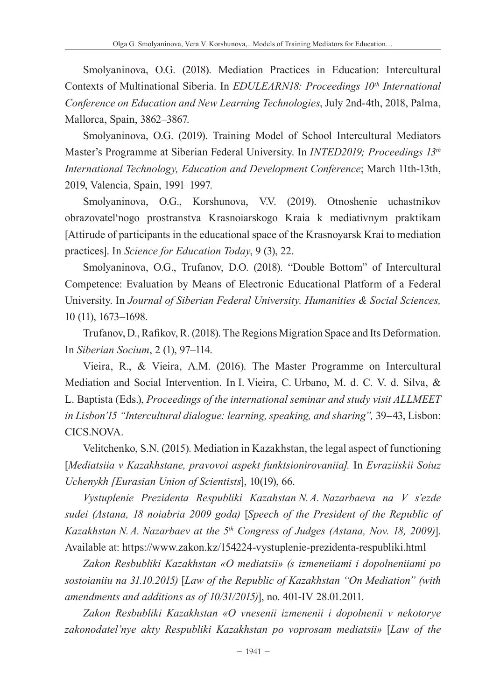Smolyaninova, O.G. (2018). Mediation Practices in Education: Intercultural Contexts of Multinational Siberia. In *EDULEARN18: Proceedings 10<sup>th</sup> International Conference on Education and New Learning Technologies*, July 2nd‑4th, 2018, Palma, Mallorca, Spain, 3862–3867.

Smolyaninova, O.G. (2019). Training Model of School Intercultural Mediators Master's Programme at Siberian Federal University. In *INTED2019; Proceedings 13th International Technology, Education and Development Conference*; March 11th-13th, 2019, Valencia, Spain, 1991–1997.

Smolyaninova, O.G., Korshunova, V.V. (2019). Otnoshenie uchastnikov obrazovatel'nogo prostranstva Krasnoiarskogo Kraia k mediativnym praktikam [Attirude of participants in the educational space of the Krasnoyarsk Krai to mediation practices]. In *Science for Education Today*, 9 (3), 22.

Smolyaninova, O.G., Trufanov, D.O. (2018). "Double Bottom" of Intercultural Competence: Evaluation by Means of Electronic Educational Platform of a Federal University. In *Journal of Siberian Federal University. Humanities & Social Sciences,* 10 (11), 1673–1698.

Trufanov, D., Rafikov, R. (2018). The Regions Migration Space and Its Deformation. In *Siberian Socium*, 2 (1), 97–114.

Vieira, R., & Vieira, A.M. (2016). The Master Programme on Intercultural Mediation and Social Intervention. In I. Vieira, C. Urbano, M. d. C. V. d. Silva, & L. Baptista (Eds.), *Proceedings of the international seminar and study visit ALLMEET in Lisbon'15 "Intercultural dialogue: learning, speaking, and sharing",* 39–43, Lisbon: CICS.NOVA.

Velitchenko, S.N. (2015). Mediation in Kazakhstan, the legal aspect of functioning [*Mediatsiia v Kazakhstane, pravovoi aspekt funktsionirovaniia].* In *Evraziiskii Soiuz Uchenykh [Eurasian Union of Scientists*], 10(19), 66.

*Vystuplenie Prezidenta Respubliki Kazahstan N.A. Nazarbaeva na V s'ezde sudei (Astana, 18 noiabria 2009 goda)* [*Speech of the President of the Republic of Kazakhstan N.A. Nazarbaev at the 5th Congress of Judges (Astana, Nov. 18, 2009)*]. Available at: https://www.zakon.kz/154224-vystuplenie-prezidenta-respubliki.html

*Zakon Resbubliki Kazakhstan «O mediatsii» (s izmeneiiami i dopolneniiami po sostoianiiu na 31.10.2015)* [*Law of the Republic of Kazakhstan "On Mediation" (with amendments and additions as of 10/31/2015)*], no. 401-IV 28.01.2011.

*Zakon Resbubliki Kazakhstan «O vnesenii izmenenii i dopolnenii v nekotorye zakonodatel'nye akty Respubliki Kazakhstan po voprosam mediatsii»* [*Law of the*